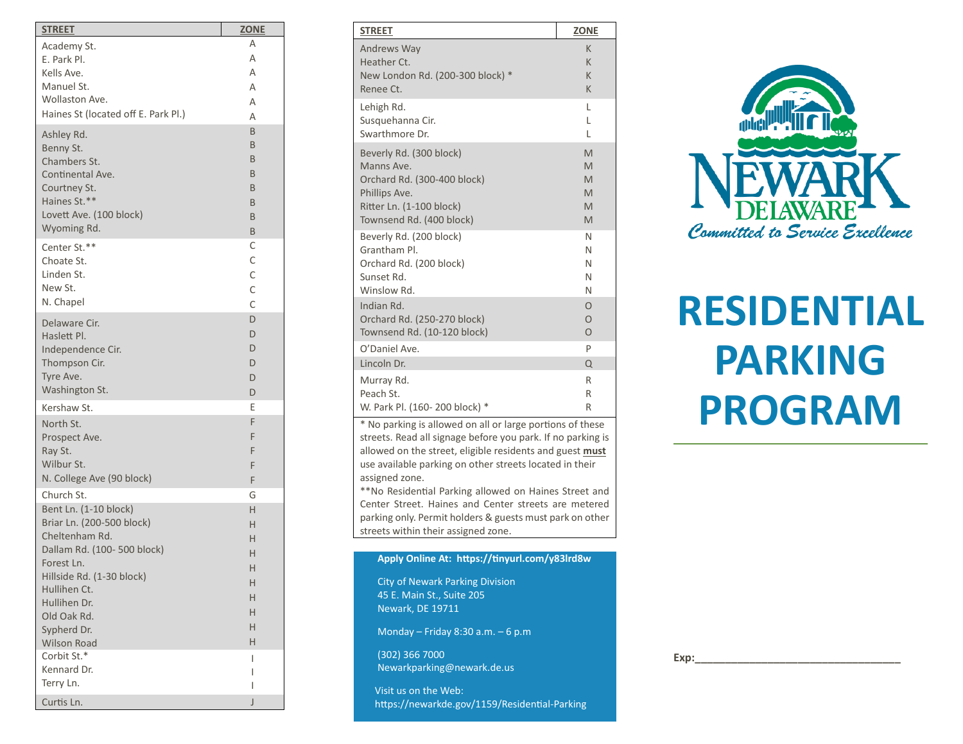| <u>STREET</u>                            | <b>ZONE</b> |
|------------------------------------------|-------------|
| Academy St.                              | Α           |
| E. Park Pl.                              | Α           |
| Kells Ave.                               | Α           |
| Manuel St.                               | Α           |
| Wollaston Ave.                           | Α           |
| Haines St (located off E. Park Pl.)      | Α           |
| Ashley Rd.                               | B           |
| Benny St.                                | B           |
| Chambers St.                             | B           |
| Continental Ave.                         | B           |
| Courtney St.                             | B           |
| Haines St.**                             | B           |
| Lovett Ave. (100 block)                  | B           |
| Wyoming Rd.                              | B           |
| Center St.**                             | С           |
| Choate St.                               | C           |
| Linden St.                               | C           |
| New St.                                  | C           |
| N. Chapel                                | C           |
| Delaware Cir.                            | D           |
| Haslett Pl.                              | D           |
| Independence Cir.                        | D           |
| Thompson Cir.                            | D           |
| Tyre Ave.                                | D           |
| Washington St.                           | D           |
| Kershaw St.                              | Ε           |
| North St.                                | F           |
| Prospect Ave.                            | F           |
| Ray St.                                  | F           |
| Wilbur St.                               | F           |
| N. College Ave (90 block)                | F           |
| Church St.                               | G           |
| Bent Ln. (1-10 block)                    | Н           |
| Briar Ln. (200-500 block)                | Н           |
| Cheltenham Rd.                           | Н           |
| Dallam Rd. (100-500 block)<br>Forest Ln. | Н           |
| Hillside Rd. (1-30 block)                | H           |
| Hullihen Ct.                             | н           |
| Hullihen Dr.                             | Н           |
| Old Oak Rd.                              | Н           |
| Sypherd Dr.                              | Н           |
| <b>Wilson Road</b>                       | Н           |
| Corbit St.*                              | I           |
| Kennard Dr.                              | I           |
| Terry Ln.                                | I           |
| Curtis Ln.                               | J           |

| <b>STREET</b>                                                                                                            | <b>ZONE</b> |  |
|--------------------------------------------------------------------------------------------------------------------------|-------------|--|
| Andrews Way                                                                                                              | K           |  |
| Heather Ct.                                                                                                              | K           |  |
| New London Rd. (200-300 block) *                                                                                         | K           |  |
| Renee Ct.                                                                                                                | K           |  |
| Lehigh Rd.                                                                                                               | L           |  |
| Susquehanna Cir.                                                                                                         | L           |  |
| Swarthmore Dr.                                                                                                           | L           |  |
| Beverly Rd. (300 block)                                                                                                  | M           |  |
| Manns Ave.                                                                                                               | M           |  |
| Orchard Rd. (300-400 block)                                                                                              | M           |  |
| Phillips Ave.                                                                                                            | M           |  |
| Ritter Ln. (1-100 block)                                                                                                 | M           |  |
| Townsend Rd. (400 block)                                                                                                 | M           |  |
| Beverly Rd. (200 block)                                                                                                  | N           |  |
| Grantham Pl.                                                                                                             | N           |  |
| Orchard Rd. (200 block)                                                                                                  | N           |  |
| Sunset Rd.                                                                                                               | N           |  |
| Winslow Rd.                                                                                                              | N           |  |
| Indian Rd.                                                                                                               | $\Omega$    |  |
| Orchard Rd. (250-270 block)                                                                                              | $\Omega$    |  |
| Townsend Rd. (10-120 block)                                                                                              | $\Omega$    |  |
| O'Daniel Ave.                                                                                                            | P           |  |
| Lincoln Dr.                                                                                                              | $\Omega$    |  |
| Murray Rd.                                                                                                               | R           |  |
| Peach St.                                                                                                                | R           |  |
| W. Park Pl. (160-200 block) *                                                                                            | R           |  |
| * No parking is allowed on all or large portions of these<br>streets. Read all signage before you park. If no parking is |             |  |

allowed on the street, eligible residents and guest **must** use available parking on other streets located in their assigned zone. \*\* No Residential Parking allowed on Haines Street and

Center Street. Haines and Center streets are metered parking only. Permit holders & guests must park on other streets within their assigned zone.

**Apply Online At : https://tinyurl.com/y83lrd8w**

City of Newark Parking Division 45 E. Main St., Suite 205 Newark, DE 19711

Monday – Friday 8:30 a.m. – 6 p.m

(302) 366 7000 Newarkparking@newark.de.us

 Visit us on the Web: https://newarkde.gov/1159/Residential -Parking



# **RESIDENTIAL PARKING PROGRAM**

**Exp:\_\_\_\_\_\_\_\_\_\_\_\_\_\_\_\_\_\_\_\_\_\_\_\_\_\_\_\_\_\_\_\_\_\_**